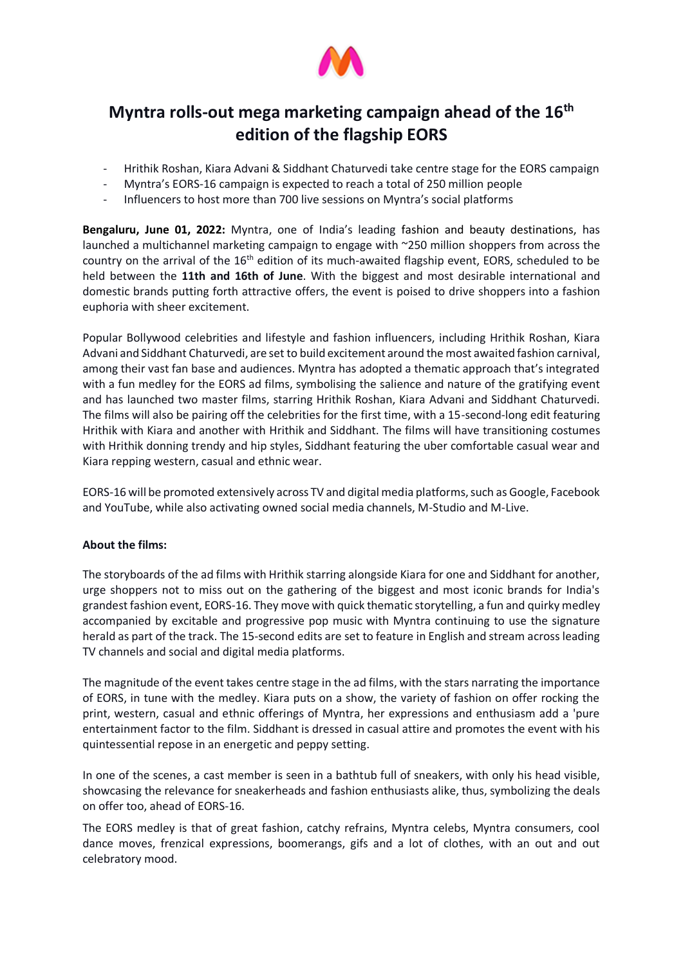

# **Myntra rolls-out mega marketing campaign ahead of the 16th edition of the flagship EORS**

- Hrithik Roshan, Kiara Advani & Siddhant Chaturvedi take centre stage for the EORS campaign
- Myntra's EORS-16 campaign is expected to reach a total of 250 million people
- Influencers to host more than 700 live sessions on Myntra's social platforms

**Bengaluru, June 01, 2022:** Myntra, one of India's leading fashion and beauty destinations, has launched a multichannel marketing campaign to engage with ~250 million shoppers from across the country on the arrival of the  $16<sup>th</sup>$  edition of its much-awaited flagship event, EORS, scheduled to be held between the **11th and 16th of June**. With the biggest and most desirable international and domestic brands putting forth attractive offers, the event is poised to drive shoppers into a fashion euphoria with sheer excitement.

Popular Bollywood celebrities and lifestyle and fashion influencers, including Hrithik Roshan, Kiara Advani and Siddhant Chaturvedi, are set to build excitement around the most awaited fashion carnival, among their vast fan base and audiences. Myntra has adopted a thematic approach that's integrated with a fun medley for the EORS ad films, symbolising the salience and nature of the gratifying event and has launched two master films, starring Hrithik Roshan, Kiara Advani and Siddhant Chaturvedi. The films will also be pairing off the celebrities for the first time, with a 15-second-long edit featuring Hrithik with Kiara and another with Hrithik and Siddhant. The films will have transitioning costumes with Hrithik donning trendy and hip styles, Siddhant featuring the uber comfortable casual wear and Kiara repping western, casual and ethnic wear.

EORS-16 will be promoted extensively across TV and digital media platforms, such as Google, Facebook and YouTube, while also activating owned social media channels, M-Studio and M-Live.

# **About the films:**

The storyboards of the ad films with Hrithik starring alongside Kiara for one and Siddhant for another, urge shoppers not to miss out on the gathering of the biggest and most iconic brands for India's grandest fashion event, EORS-16. They move with quick thematic storytelling, a fun and quirky medley accompanied by excitable and progressive pop music with Myntra continuing to use the signature herald as part of the track. The 15-second edits are set to feature in English and stream across leading TV channels and social and digital media platforms.

The magnitude of the event takes centre stage in the ad films, with the stars narrating the importance of EORS, in tune with the medley. Kiara puts on a show, the variety of fashion on offer rocking the print, western, casual and ethnic offerings of Myntra, her expressions and enthusiasm add a 'pure entertainment factor to the film. Siddhant is dressed in casual attire and promotes the event with his quintessential repose in an energetic and peppy setting.

In one of the scenes, a cast member is seen in a bathtub full of sneakers, with only his head visible, showcasing the relevance for sneakerheads and fashion enthusiasts alike, thus, symbolizing the deals on offer too, ahead of EORS-16.

The EORS medley is that of great fashion, catchy refrains, Myntra celebs, Myntra consumers, cool dance moves, frenzical expressions, boomerangs, gifs and a lot of clothes, with an out and out celebratory mood.